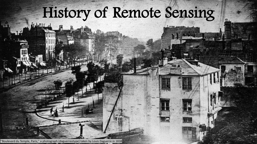# History of Remote Sensing

'Boulevard du Temple, Paris," a photograph (daguerreotype) taken by Louis Daguerre in 1838

L. HTM-Th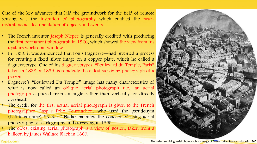One of the key advances that laid the groundwork for the field of remote sensing was the invention of photography which enabled the nearinstantaneous documentation of objects and events.

- The French inventor Joseph Niépce is generally credited with producing the first permanent photograph in 1826, which showed the view from his upstairs workroom window.
- In 1839, it was announced that Louis Daguerre—had invented a process for creating a fixed silver image on a copper plate, which he called a daguerreotype. One of his daguerreotypes, ''Boulevard du Temple, Paris'' taken in 1838 or 1839, is reputedly the oldest surviving photograph of a person.
- Daguerre's ''Boulevard Du Temple'' image has many characteristics of what is now called an oblique aerial photograph (i.e., an aerial photograph captured from an angle rather than vertically, or directly overhead)
- The credit for the first actual aerial photograph is given to the French photographer Gaspar Felix Tournachon, who used the pseudonym (fictitious name) ''Nadar.'' Nadar patented the concept of using aerial photography for cartography and surveying in 1855.
- The oldest existing aerial photograph is a view of Boston, taken from a balloon by James Wallace Black in 1860.



### The oldest surviving aerial photograph, an image of Boston taken from a balloon in 1860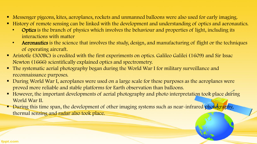- Messenger pigeons, kites, aeroplanes, rockets and unmanned balloons were also used for early imaging.
- History of remote sensing can be linked with the development and understanding of optics and aeronautics.
	- Optics is the branch of physics which involves the behaviour and properties of light, including its interactions with matter
	- Aeronautics is the science that involves the study, design, and manufacturing of flight or the techniques of operating aircraft.
- Aristotle (300BC) is credited with the first experiments on optics. Galileo Galilei (1609) and Sir Issac Newton (1666) scientifically explained optics and spectrometry.
- The systematic aerial photography began during the World War I for military surveillance and reconnaissance purposes.
- During World War I, aeroplanes were used on a large scale for these purposes as the aeroplanes were proved more reliable and stable platforms for Earth observation than balloons.
- However, the important developments of aerial photography and photo interpretation took place during World War II.
- **During this time span, the development of other imaging systems such as near-infrared photography,** thermal sensing and radar also took place.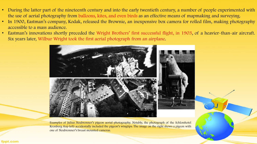- During the latter part of the nineteenth century and into the early twentieth century, a number of people experimented with the use of aerial photography from balloons, kites, and even birds as an effective means of mapmaking and surveying.
- In 1900, Eastman's company, Kodak, released the Brownie, an inexpensive box camera for rolled film, making photography accessible to a mass audience.
- Eastman's innovations shortly preceded the Wright Brothers' first successful flight, in 1903, of a heavier-than-air aircraft. Six years later, Wilbur Wright took the first aerial photograph from an airplane.



Examples of Julius Neubronner's pigeon aerial photography. Notably, the photograph of the Schlosshotel Kronberg (top left) accidentally included the pigeon's wingtips. The image on the right shows a pigeon with one of Neubronner's breast mounted cameras.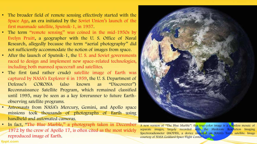- The broader field of remote sensing effectively started with the Space Age, an era initiated by the Soviet Union's launch of the first manmade satellite, Sputnik-1, in 1957.
- The term "remote sensing" was coined in the mid-1950s by Evelyn Pruitt, a geographer with the U. S. Office of Naval Research, allegedly because the term ''aerial photography'' did not sufficiently accommodate the notion of images from space.
- After the launch of Sputnik-1, the U.S. and Soviet governments raced to design and implement new space-related technologies, including both manned spacecraft and satellites.
- The first (and rather crude) satellite image of Earth was captured by NASA's Explorer 6 in 1959, the U. S. Department of Defense's CORONA (also known as ''Discoverer'') Reconnaissance Satellite Program, which remained classified until 1995, may be seen as a key forerunner to future Earthobserving satellite programs.
- Astronauts from NASA's Mercury, Gemini, and Apollo space missions took thousands of photographs of Earth using handheld and automated cameras.
- In fact, "The Blue Marble," a photograph taken in December 1972 by the crew of Apollo 17, is often cited as the most widely reproduced image of Earth.



A new version of ''The Blue Marble'': this true-color image is a seamless mosaic of separate images, largely recorded with the Moderate Resolution Imaging Spectroradiometer (MODIS), a device mounted on NASA's Terra satellite. Image courtesy of NASA Goddard Space Flight Center.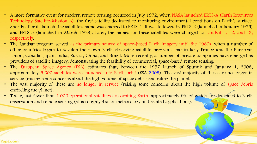# • A more formative event for modern remote sensing occurred in July 1972, when NASA launched ERTS-A (Earth Resources Technology Satellite-Mission A), the first satellite dedicated to monitoring environmental conditions on Earth's surface. Shortly after its launch, the satellite's name was changed to ERTS-1. It was followed by ERTS-2 (launched in January 1975) and ERTS-3 (launched in March 1978). Later, the names for these satellites were changed to Landsat-1, -2, and -3,

- The Landsat program served as the primary source of space-based Earth imagery until the 1980s, when a number of other countries began to develop their own Earth-observing satellite programs, particularly France and the European Union, Canada, Japan, India, Russia, China, and Brazil. More recently, a number of private companies have emerged as providers of satellite imagery, demonstrating the feasibility of commercial, space-based remote sensing.
- The European Space Agency (ESA) estimates that, between the 1957 launch of Sputnik and January 1, 2008, approximately 5,600 satellites were launched into Earth orbit (ESA 2009). The vast majority of these are no longer in service (raising some concerns about the high volume of space debris encircling the planet.
- The vast majority of these are no longer in service (raising some concerns about the high volume of space debris encircling the planet).
- Today, just fewer than 1,000 operational satellites are orbiting Earth, approximately 9% of which are dedicated to Earth observation and remote sensing (plus roughly 4% for meteorology and related applications).

respectively.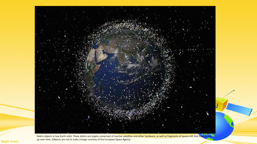

Debris objects in low-Earth orbit. These debris are largely comprised of inactive satellites and other hardware, as well as fragments of spacecraft that have broken up over time. (Objects are not to scale.) Image courtesy of the European Space Agency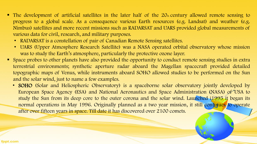- $\blacksquare$  The development of artificial satellites in the later half of the  $2O_{th}$  century allowed remote sensing to progress to a global scale. As a consequence various Earth resources (e.g. Landsat) and weather (e.g. Nimbus) satellites and more recent missions such as RADARSAT and UARS provided global measurements of various data for civil, research, and military purposes.
	- RADARSAT is a constellation of pair of Canadian Remote Sensing satellites.
	- UARS (Upper Atmosphere Research Satellite) was a NASA operated orbital observatory whose mission was to study the Earth's atmosphere, particularly the protective ozone layer.
- Space probes to other planets have also provided the opportunity to conduct remote sensing studies in extra terrestrial environments; synthetic aperture radar aboard the Magellan spacecraft provided detailed topographic maps of Venus, while instruments aboard SOHO allowed studies to be performed on the Sun and the solar wind, just to name a few examples.
	- SOHO (Solar and Heliospheric Observatory) is a spaceborne solar observatory jointly developed by European Space Agency (ESA) and National Aeronautics and Space Administration (NASA) of USA to study the Sun from its deep core to the outer corona and the solar wind. Launched i1995 it began its normal operations in May 1996. Originally planned as a two year mission, it still continues to operate after over fifteen years in space. Till date it has discovered over 2100 comets.